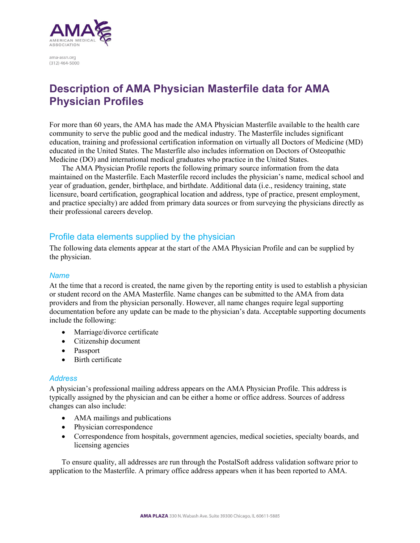

ama-assn.org  $(312)$  464-5000

# **Description of AMA Physician Masterfile data for AMA Physician Profiles**

For more than 60 years, the AMA has made the AMA Physician Masterfile available to the health care community to serve the public good and the medical industry. The Masterfile includes significant education, training and professional certification information on virtually all Doctors of Medicine (MD) educated in the United States. The Masterfile also includes information on Doctors of Osteopathic Medicine (DO) and international medical graduates who practice in the United States.

The AMA Physician Profile reports the following primary source information from the data maintained on the Masterfile. Each Masterfile record includes the physician's name, medical school and year of graduation, gender, birthplace, and birthdate. Additional data (i.e., residency training, state licensure, board certification, geographical location and address, type of practice, present employment, and practice specialty) are added from primary data sources or from surveying the physicians directly as their professional careers develop.

# Profile data elements supplied by the physician

The following data elements appear at the start of the AMA Physician Profile and can be supplied by the physician.

### *Name*

At the time that a record is created, the name given by the reporting entity is used to establish a physician or student record on the AMA Masterfile. Name changes can be submitted to the AMA from data providers and from the physician personally. However, all name changes require legal supporting documentation before any update can be made to the physician's data. Acceptable supporting documents include the following:

- Marriage/divorce certificate
- Citizenship document
- Passport
- Birth certificate

#### *Address*

A physician's professional mailing address appears on the AMA Physician Profile. This address is typically assigned by the physician and can be either a home or office address. Sources of address changes can also include:

- AMA mailings and publications
- Physician correspondence
- Correspondence from hospitals, government agencies, medical societies, specialty boards, and licensing agencies

To ensure quality, all addresses are run through the PostalSoft address validation software prior to application to the Masterfile. A primary office address appears when it has been reported to AMA.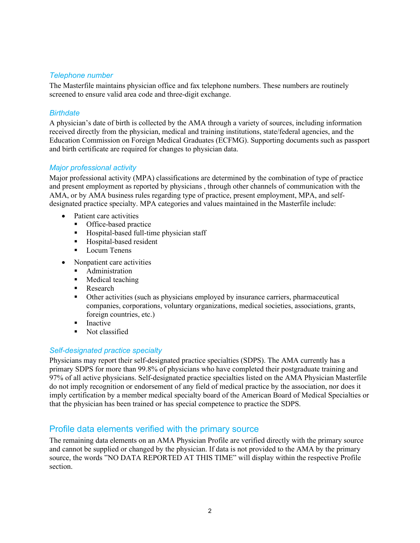# *Telephone number*

The Masterfile maintains physician office and fax telephone numbers. These numbers are routinely screened to ensure valid area code and three-digit exchange.

## *Birthdate*

A physician's date of birth is collected by the AMA through a variety of sources, including information received directly from the physician, medical and training institutions, state/federal agencies, and the Education Commission on Foreign Medical Graduates (ECFMG). Supporting documents such as passport and birth certificate are required for changes to physician data.

## *Major professional activity*

Major professional activity (MPA) classifications are determined by the combination of type of practice and present employment as reported by physicians , through other channels of communication with the AMA, or by AMA business rules regarding type of practice, present employment, MPA, and selfdesignated practice specialty. MPA categories and values maintained in the Masterfile include:

- Patient care activities
	- Office-based practice
	- **Hospital-based full-time physician staff**
	- **Hospital-based resident**
	- **Locum Tenens**
- Nonpatient care activities
	- **Administration**
	- **Medical teaching**
	- Research
	- Other activities (such as physicians employed by insurance carriers, pharmaceutical companies, corporations, voluntary organizations, medical societies, associations, grants, foreign countries, etc.)
	- $\blacksquare$  Inactive
	- Not classified

## *Self-designated practice specialty*

Physicians may report their self-designated practice specialties (SDPS). The AMA currently has a primary SDPS for more than 99.8% of physicians who have completed their postgraduate training and 97% of all active physicians. Self-designated practice specialties listed on the AMA Physician Masterfile do not imply recognition or endorsement of any field of medical practice by the association, nor does it imply certification by a member medical specialty board of the American Board of Medical Specialties or that the physician has been trained or has special competence to practice the SDPS.

# Profile data elements verified with the primary source

The remaining data elements on an AMA Physician Profile are verified directly with the primary source and cannot be supplied or changed by the physician. If data is not provided to the AMA by the primary source, the words "NO DATA REPORTED AT THIS TIME" will display within the respective Profile section.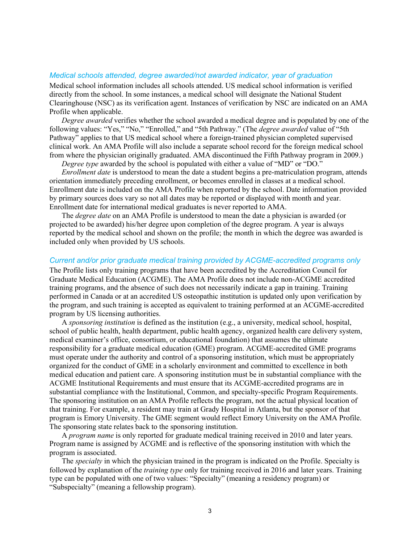#### *Medical schools attended, degree awarded/not awarded indicator, year of graduation*

Medical school information includes all schools attended. US medical school information is verified directly from the school. In some instances, a medical school will designate the National Student Clearinghouse (NSC) as its verification agent. Instances of verification by NSC are indicated on an AMA Profile when applicable.

*Degree awarded* verifies whether the school awarded a medical degree and is populated by one of the following values: "Yes," "No," "Enrolled," and "5th Pathway." (The *degree awarded* value of "5th Pathway" applies to that US medical school where a foreign-trained physician completed supervised clinical work. An AMA Profile will also include a separate school record for the foreign medical school from where the physician originally graduated. AMA discontinued the Fifth Pathway program in 2009.)

*Degree type* awarded by the school is populated with either a value of "MD" or "DO."

*Enrollment date* is understood to mean the date a student begins a pre-matriculation program, attends orientation immediately preceding enrollment, or becomes enrolled in classes at a medical school. Enrollment date is included on the AMA Profile when reported by the school. Date information provided by primary sources does vary so not all dates may be reported or displayed with month and year. Enrollment date for international medical graduates is never reported to AMA.

The *degree date* on an AMA Profile is understood to mean the date a physician is awarded (or projected to be awarded) his/her degree upon completion of the degree program. A year is always reported by the medical school and shown on the profile; the month in which the degree was awarded is included only when provided by US schools.

#### *Current and/or prior graduate medical training provided by ACGME-accredited programs only*

The Profile lists only training programs that have been accredited by the Accreditation Council for Graduate Medical Education (ACGME). The AMA Profile does not include non-ACGME accredited training programs, and the absence of such does not necessarily indicate a gap in training. Training performed in Canada or at an accredited US osteopathic institution is updated only upon verification by the program, and such training is accepted as equivalent to training performed at an ACGME-accredited program by US licensing authorities.

A *sponsoring institution* is defined as the institution (e.g., a university, medical school, hospital, school of public health, health department, public health agency, organized health care delivery system, medical examiner's office, consortium, or educational foundation) that assumes the ultimate responsibility for a graduate medical education (GME) program. ACGME-accredited GME programs must operate under the authority and control of a sponsoring institution, which must be appropriately organized for the conduct of GME in a scholarly environment and committed to excellence in both medical education and patient care. A sponsoring institution must be in substantial compliance with the ACGME Institutional Requirements and must ensure that its ACGME-accredited programs are in substantial compliance with the Institutional, Common, and specialty-specific Program Requirements. The sponsoring institution on an AMA Profile reflects the program, not the actual physical location of that training. For example, a resident may train at Grady Hospital in Atlanta, but the sponsor of that program is Emory University. The GME segment would reflect Emory University on the AMA Profile. The sponsoring state relates back to the sponsoring institution.

A *program name* is only reported for graduate medical training received in 2010 and later years. Program name is assigned by ACGME and is reflective of the sponsoring institution with which the program is associated.

The *specialty* in which the physician trained in the program is indicated on the Profile. Specialty is followed by explanation of the *training type* only for training received in 2016 and later years. Training type can be populated with one of two values: "Specialty" (meaning a residency program) or "Subspecialty" (meaning a fellowship program).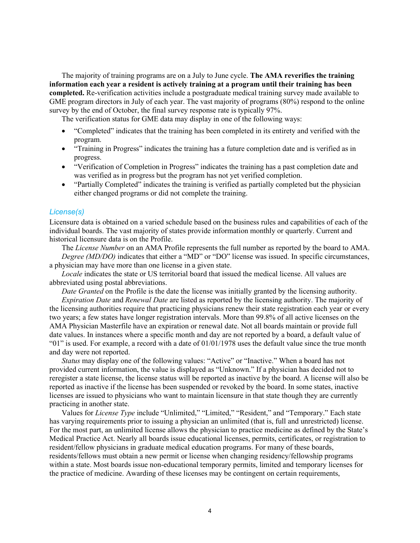The majority of training programs are on a July to June cycle. **The AMA reverifies the training information each year a resident is actively training at a program until their training has been completed.** Re-verification activities include a postgraduate medical training survey made available to GME program directors in July of each year. The vast majority of programs (80%) respond to the online survey by the end of October, the final survey response rate is typically 97%.

The verification status for GME data may display in one of the following ways:

- "Completed" indicates that the training has been completed in its entirety and verified with the program.
- "Training in Progress" indicates the training has a future completion date and is verified as in progress.
- "Verification of Completion in Progress" indicates the training has a past completion date and was verified as in progress but the program has not yet verified completion.
- "Partially Completed" indicates the training is verified as partially completed but the physician either changed programs or did not complete the training.

#### *License(s)*

Licensure data is obtained on a varied schedule based on the business rules and capabilities of each of the individual boards. The vast majority of states provide information monthly or quarterly. Current and historical licensure data is on the Profile.

The *License Number* on an AMA Profile represents the full number as reported by the board to AMA. *Degree (MD/DO)* indicates that either a "MD" or "DO" license was issued. In specific circumstances, a physician may have more than one license in a given state.

*Locale* indicates the state or US territorial board that issued the medical license. All values are abbreviated using postal abbreviations.

*Date Granted* on the Profile is the date the license was initially granted by the licensing authority.

*Expiration Date* and *Renewal Date* are listed as reported by the licensing authority. The majority of the licensing authorities require that practicing physicians renew their state registration each year or every two years; a few states have longer registration intervals. More than 99.8% of all active licenses on the AMA Physician Masterfile have an expiration or renewal date. Not all boards maintain or provide full date values. In instances where a specific month and day are not reported by a board, a default value of "01" is used. For example, a record with a date of 01/01/1978 uses the default value since the true month and day were not reported.

*Status* may display one of the following values: "Active" or "Inactive." When a board has not provided current information, the value is displayed as "Unknown." If a physician has decided not to reregister a state license, the license status will be reported as inactive by the board. A license will also be reported as inactive if the license has been suspended or revoked by the board. In some states, inactive licenses are issued to physicians who want to maintain licensure in that state though they are currently practicing in another state.

Values for *License Type* include "Unlimited," "Limited," "Resident," and "Temporary." Each state has varying requirements prior to issuing a physician an unlimited (that is, full and unrestricted) license. For the most part, an unlimited license allows the physician to practice medicine as defined by the State's Medical Practice Act. Nearly all boards issue educational licenses, permits, certificates, or registration to resident/fellow physicians in graduate medical education programs. For many of these boards, residents/fellows must obtain a new permit or license when changing residency/fellowship programs within a state. Most boards issue non-educational temporary permits, limited and temporary licenses for the practice of medicine. Awarding of these licenses may be contingent on certain requirements,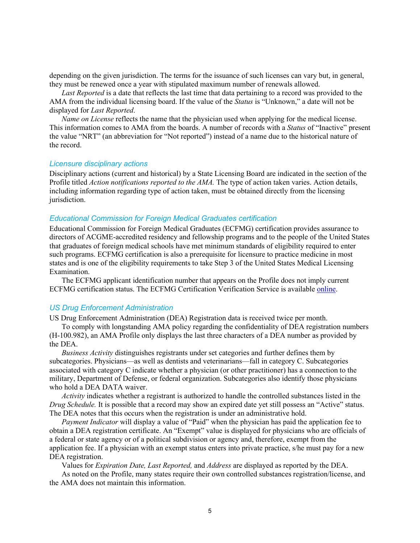depending on the given jurisdiction. The terms for the issuance of such licenses can vary but, in general, they must be renewed once a year with stipulated maximum number of renewals allowed.

*Last Reported* is a date that reflects the last time that data pertaining to a record was provided to the AMA from the individual licensing board. If the value of the *Status* is "Unknown," a date will not be displayed for *Last Reported*.

*Name on License* reflects the name that the physician used when applying for the medical license. This information comes to AMA from the boards. A number of records with a *Status* of "Inactive" present the value "NRT" (an abbreviation for "Not reported") instead of a name due to the historical nature of the record.

#### *Licensure disciplinary actions*

Disciplinary actions (current and historical) by a State Licensing Board are indicated in the section of the Profile titled *Action notifications reported to the AMA.* The type of action taken varies. Action details, including information regarding type of action taken, must be obtained directly from the licensing jurisdiction.

#### *Educational Commission for Foreign Medical Graduates certification*

Educational Commission for Foreign Medical Graduates (ECFMG) certification provides assurance to directors of ACGME-accredited residency and fellowship programs and to the people of the United States that graduates of foreign medical schools have met minimum standards of eligibility required to enter such programs. ECFMG certification is also a prerequisite for licensure to practice medicine in most states and is one of the eligibility requirements to take Step 3 of the United States Medical Licensing Examination.

The ECFMG applicant identification number that appears on the Profile does not imply current ECFMG certification status. The ECFMG Certification Verification Service is available [online.](https://cvsonline2.ecfmg.org/)

#### *US Drug Enforcement Administration*

US Drug Enforcement Administration (DEA) Registration data is received twice per month.

To comply with longstanding AMA policy regarding the confidentiality of DEA registration numbers (H-100.982), an AMA Profile only displays the last three characters of a DEA number as provided by the DEA.

*Business Activity* distinguishes registrants under set categories and further defines them by subcategories. Physicians—as well as dentists and veterinarians—fall in category C. Subcategories associated with category C indicate whether a physician (or other practitioner) has a connection to the military, Department of Defense, or federal organization. Subcategories also identify those physicians who hold a DEA DATA waiver.

*Activity* indicates whether a registrant is authorized to handle the controlled substances listed in the *Drug Schedule.* It is possible that a record may show an expired date yet still possess an "Active" status. The DEA notes that this occurs when the registration is under an administrative hold.

*Payment Indicator* will display a value of "Paid" when the physician has paid the application fee to obtain a DEA registration certificate. An "Exempt" value is displayed for physicians who are officials of a federal or state agency or of a political subdivision or agency and, therefore, exempt from the application fee. If a physician with an exempt status enters into private practice, s/he must pay for a new DEA registration.

Values for *Expiration Date, Last Reported,* and *Address* are displayed as reported by the DEA.

As noted on the Profile, many states require their own controlled substances registration/license, and the AMA does not maintain this information.